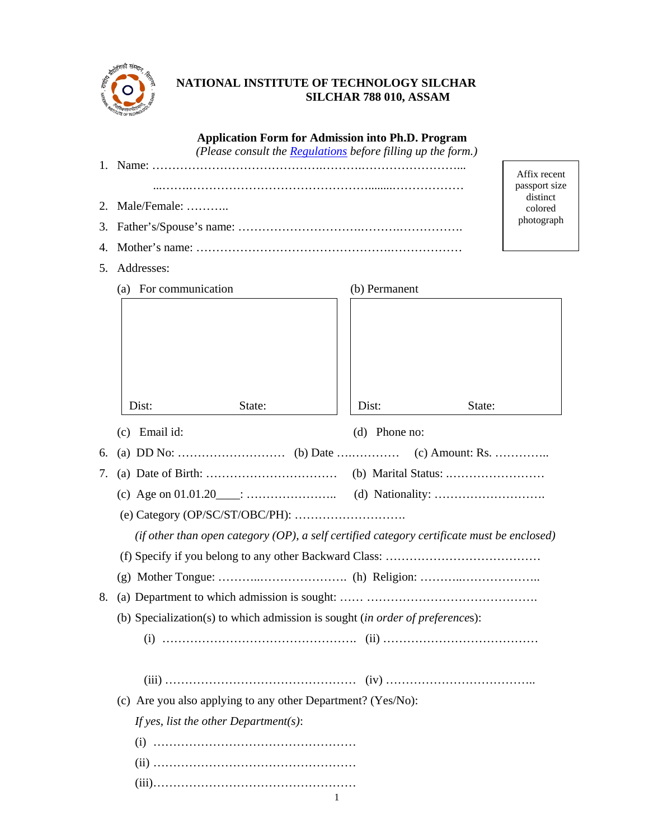

# **NATIONAL INSTITUTE OF TECHNOLOGY SILCHAR SILCHAR 788 010, ASSAM**

|    |                                                                                              | <b>Application Form for Admission into Ph.D. Program</b><br>(Please consult the <b>Regulations</b> before filling up the form.) |                     |  |  |  |  |
|----|----------------------------------------------------------------------------------------------|---------------------------------------------------------------------------------------------------------------------------------|---------------------|--|--|--|--|
|    |                                                                                              | Affix recent<br>passport size                                                                                                   |                     |  |  |  |  |
| 2. | Male/Female:                                                                                 |                                                                                                                                 | distinct<br>colored |  |  |  |  |
| 3. |                                                                                              |                                                                                                                                 | photograph          |  |  |  |  |
| 4. |                                                                                              |                                                                                                                                 |                     |  |  |  |  |
| 5. | Addresses:                                                                                   |                                                                                                                                 |                     |  |  |  |  |
|    | (a) For communication                                                                        | (b) Permanent                                                                                                                   |                     |  |  |  |  |
|    | State:<br>Dist:                                                                              | Dist:                                                                                                                           | State:              |  |  |  |  |
|    | $(c)$ Email id:                                                                              | (d) Phone no:                                                                                                                   |                     |  |  |  |  |
| 6. |                                                                                              |                                                                                                                                 |                     |  |  |  |  |
| 7. |                                                                                              |                                                                                                                                 |                     |  |  |  |  |
|    |                                                                                              |                                                                                                                                 |                     |  |  |  |  |
|    |                                                                                              |                                                                                                                                 |                     |  |  |  |  |
|    | (if other than open category $OP$ ), a self certified category certificate must be enclosed) |                                                                                                                                 |                     |  |  |  |  |
|    |                                                                                              |                                                                                                                                 |                     |  |  |  |  |
|    |                                                                                              |                                                                                                                                 |                     |  |  |  |  |
| 8. |                                                                                              |                                                                                                                                 |                     |  |  |  |  |
|    | (b) Specialization(s) to which admission is sought (in order of preferences):                |                                                                                                                                 |                     |  |  |  |  |
|    |                                                                                              |                                                                                                                                 |                     |  |  |  |  |
|    |                                                                                              |                                                                                                                                 |                     |  |  |  |  |
|    | (c) Are you also applying to any other Department? (Yes/No):                                 |                                                                                                                                 |                     |  |  |  |  |
|    | If yes, list the other Department(s):                                                        |                                                                                                                                 |                     |  |  |  |  |
|    |                                                                                              |                                                                                                                                 |                     |  |  |  |  |
|    |                                                                                              |                                                                                                                                 |                     |  |  |  |  |
|    |                                                                                              |                                                                                                                                 |                     |  |  |  |  |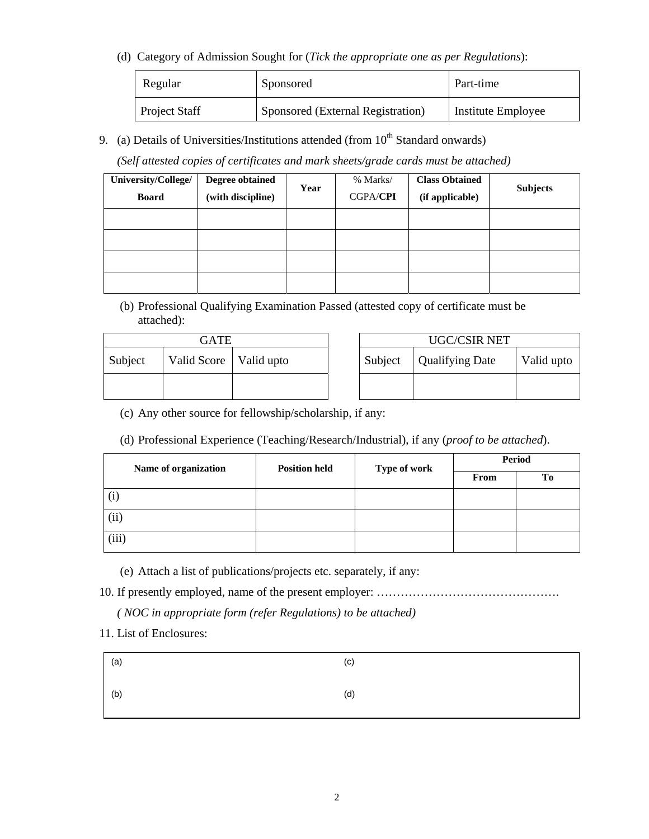(d) Category of Admission Sought for (*Tick the appropriate one as per Regulations*):

| Regular              | Sponsored                         | Part-time          |
|----------------------|-----------------------------------|--------------------|
| <b>Project Staff</b> | Sponsored (External Registration) | Institute Employee |

9. (a) Details of Universities/Institutions attended (from  $10^{th}$  Standard onwards)

 *(Self attested copies of certificates and mark sheets/grade cards must be attached)* 

| University/College/ | <b>Degree obtained</b> |      | % Marks/        | <b>Class Obtained</b> |                 |
|---------------------|------------------------|------|-----------------|-----------------------|-----------------|
| <b>Board</b>        | (with discipline)      | Year | <b>CGPA/CPI</b> | (if applicable)       | <b>Subjects</b> |
|                     |                        |      |                 |                       |                 |
|                     |                        |      |                 |                       |                 |
|                     |                        |      |                 |                       |                 |
|                     |                        |      |                 |                       |                 |

(b) Professional Qualifying Examination Passed (attested copy of certificate must be attached):

| GATE    |                          |  | UGC/CSIR NET |                        |            |
|---------|--------------------------|--|--------------|------------------------|------------|
| Subject | Valid Score   Valid upto |  | Subject      | <b>Qualifying Date</b> | Valid upto |
|         |                          |  |              |                        |            |
|         |                          |  |              |                        |            |

(c) Any other source for fellowship/scholarship, if any:

(d) Professional Experience (Teaching/Research/Industrial), if any (*proof to be attached*).

| Name of organization | <b>Position held</b> | Type of work | <b>Period</b> |    |
|----------------------|----------------------|--------------|---------------|----|
|                      |                      |              | From          | Tо |
|                      |                      |              |               |    |
| $\rm(ii)$            |                      |              |               |    |
| (iii)                |                      |              |               |    |

(e) Attach a list of publications/projects etc. separately, if any:

10. If presently employed, name of the present employer: ……………………………………….

*( NOC in appropriate form (refer Regulations) to be attached)* 

11. List of Enclosures:

| (a) | (c) |
|-----|-----|
| (b) | (d) |